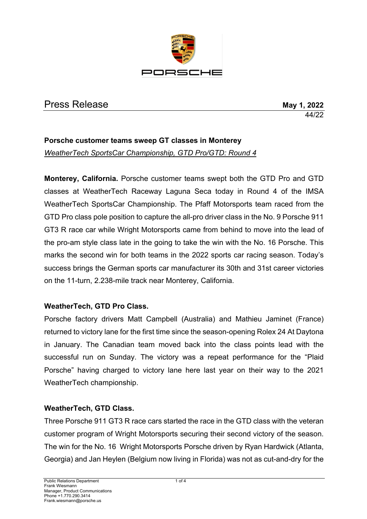

# Press Release **May 1, 2022**

44/22

## **Porsche customer teams sweep GT classes in Monterey** *WeatherTech SportsCar Championship, GTD Pro/GTD: Round 4*

**Monterey, California.** Porsche customer teams swept both the GTD Pro and GTD classes at WeatherTech Raceway Laguna Seca today in Round 4 of the IMSA WeatherTech SportsCar Championship. The Pfaff Motorsports team raced from the GTD Pro class pole position to capture the all-pro driver class in the No. 9 Porsche 911 GT3 R race car while Wright Motorsports came from behind to move into the lead of the pro-am style class late in the going to take the win with the No. 16 Porsche. This marks the second win for both teams in the 2022 sports car racing season. Today's success brings the German sports car manufacturer its 30th and 31st career victories on the 11-turn, 2.238-mile track near Monterey, California.

### **WeatherTech, GTD Pro Class.**

Porsche factory drivers Matt Campbell (Australia) and Mathieu Jaminet (France) returned to victory lane for the first time since the season-opening Rolex 24 At Daytona in January. The Canadian team moved back into the class points lead with the successful run on Sunday. The victory was a repeat performance for the "Plaid Porsche" having charged to victory lane here last year on their way to the 2021 WeatherTech championship.

### **WeatherTech, GTD Class.**

Three Porsche 911 GT3 R race cars started the race in the GTD class with the veteran customer program of Wright Motorsports securing their second victory of the season. The win for the No. 16 Wright Motorsports Porsche driven by Ryan Hardwick (Atlanta, Georgia) and Jan Heylen (Belgium now living in Florida) was not as cut-and-dry for the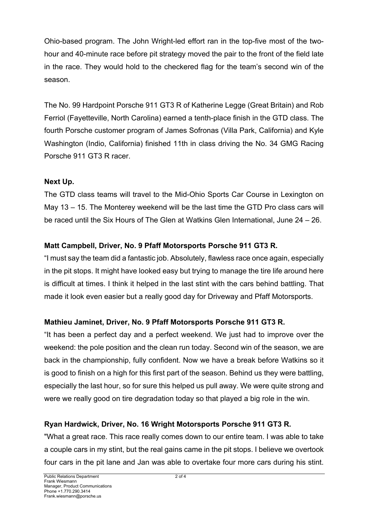Ohio-based program. The John Wright-led effort ran in the top-five most of the twohour and 40-minute race before pit strategy moved the pair to the front of the field late in the race. They would hold to the checkered flag for the team's second win of the season.

The No. 99 Hardpoint Porsche 911 GT3 R of Katherine Legge (Great Britain) and Rob Ferriol (Fayetteville, North Carolina) earned a tenth-place finish in the GTD class. The fourth Porsche customer program of James Sofronas (Villa Park, California) and Kyle Washington (Indio, California) finished 11th in class driving the No. 34 GMG Racing Porsche 911 GT3 R racer.

### **Next Up.**

The GTD class teams will travel to the Mid-Ohio Sports Car Course in Lexington on May 13 – 15. The Monterey weekend will be the last time the GTD Pro class cars will be raced until the Six Hours of The Glen at Watkins Glen International, June 24 – 26.

# **Matt Campbell, Driver, No. 9 Pfaff Motorsports Porsche 911 GT3 R.**

"I must say the team did a fantastic job. Absolutely, flawless race once again, especially in the pit stops. It might have looked easy but trying to manage the tire life around here is difficult at times. I think it helped in the last stint with the cars behind battling. That made it look even easier but a really good day for Driveway and Pfaff Motorsports.

### **Mathieu Jaminet, Driver, No. 9 Pfaff Motorsports Porsche 911 GT3 R.**

"It has been a perfect day and a perfect weekend. We just had to improve over the weekend: the pole position and the clean run today. Second win of the season, we are back in the championship, fully confident. Now we have a break before Watkins so it is good to finish on a high for this first part of the season. Behind us they were battling, especially the last hour, so for sure this helped us pull away. We were quite strong and were we really good on tire degradation today so that played a big role in the win.

# **Ryan Hardwick, Driver, No. 16 Wright Motorsports Porsche 911 GT3 R.**

"What a great race. This race really comes down to our entire team. I was able to take a couple cars in my stint, but the real gains came in the pit stops. I believe we overtook four cars in the pit lane and Jan was able to overtake four more cars during his stint.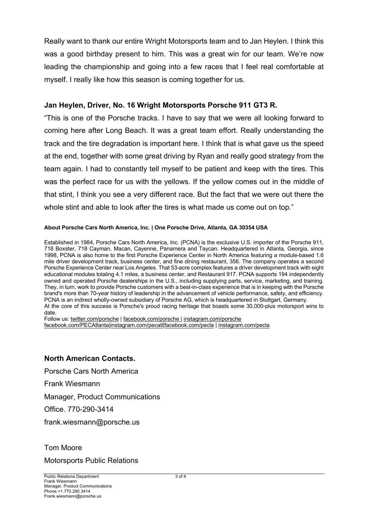Really want to thank our entire Wright Motorsports team and to Jan Heylen. I think this was a good birthday present to him. This was a great win for our team. We're now leading the championship and going into a few races that I feel real comfortable at myself. I really like how this season is coming together for us.

#### **Jan Heylen, Driver, No. 16 Wright Motorsports Porsche 911 GT3 R.**

"This is one of the Porsche tracks. I have to say that we were all looking forward to coming here after Long Beach. It was a great team effort. Really understanding the track and the tire degradation is important here. I think that is what gave us the speed at the end, together with some great driving by Ryan and really good strategy from the team again. I had to constantly tell myself to be patient and keep with the tires. This was the perfect race for us with the yellows. If the yellow comes out in the middle of that stint, I think you see a very different race. But the fact that we were out there the whole stint and able to look after the tires is what made us come out on top."

#### **About Porsche Cars North America, Inc. | One Porsche Drive, Atlanta, GA 30354 USA**

Established in 1984, Porsche Cars North America, Inc. (PCNA) is the exclusive U.S. importer of the Porsche 911, 718 Boxster, 718 Cayman, Macan, Cayenne, Panamera and Taycan. Headquartered in Atlanta, Georgia, since 1998, PCNA is also home to the first Porsche Experience Center in North America featuring a module-based 1.6 mile driver development track, business center, and fine dining restaurant, 356. The company operates a second Porsche Experience Center near Los Angeles. That 53-acre complex features a driver development track with eight educational modules totaling 4.1 miles, a business center, and Restaurant 917. PCNA supports 194 independently owned and operated Porsche dealerships in the U.S., including supplying parts, service, marketing, and training. They, in turn, work to provide Porsche customers with a best-in-class experience that is in keeping with the Porsche brand's more than 70-year history of leadership in the advancement of vehicle performance, safety, and efficiency. PCNA is an indirect wholly-owned subsidiary of Porsche AG, which is headquartered in Stuttgart, Germany. At the core of this success is Porsche's proud racing heritage that boasts some 30,000-plus motorsport wins to date.

Follow us: twitter.com/porsche | facebook.com/porsche | instagram.com/porsche facebook.com/PECAtlanta|instagram.com/pecatl|facebook.com/pecla | instagram.com/pecla

#### **North American Contacts.**

Porsche Cars North America

Frank Wiesmann

Manager, Product Communications

Office. 770-290-3414

frank.wiesmann@porsche.us

Tom Moore

Motorsports Public Relations